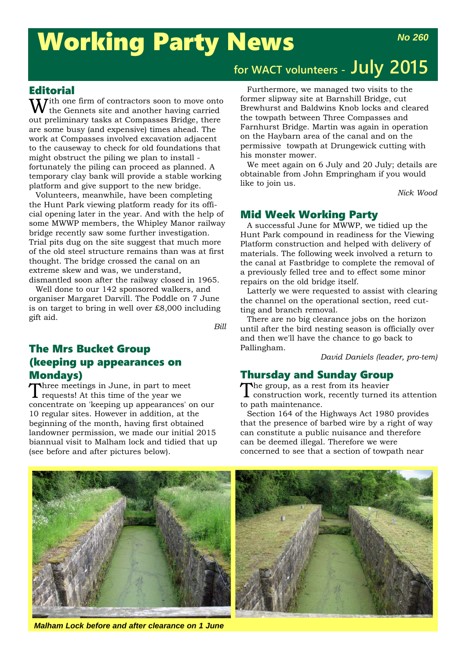# Working Party News

 $\mathbf{W}$  if the one firm of contractors soon to move onto the Gennets site and another having carried out preliminary tasks at Compasses Bridge, there are some busy (and expensive) times ahead. The work at Compasses involved excavation adjacent to the causeway to check for old foundations that might obstruct the piling we plan to install fortunately the piling can proceed as planned. A temporary clay bank will provide a stable working platform and give support to the new bridge.

Volunteers, meanwhile, have been completing the Hunt Park viewing platform ready for its official opening later in the year. And with the help of some MWWP members, the Whipley Manor railway bridge recently saw some further investigation. Trial pits dug on the site suggest that much more of the old steel structure remains than was at first thought. The bridge crossed the canal on an extreme skew and was, we understand, dismantled soon after the railway closed in 1965.

Well done to our 142 sponsored walkers, and organiser Margaret Darvill. The Poddle on 7 June is on target to bring in well over £8,000 including gift aid.

*Bill*

# The Mrs Bucket Group (keeping up appearances on Mondays)

Three meetings in June, in part to meet<br>Trequests! At this time of the year we concentrate on 'keeping up appearances' on our 10 regular sites. However in addition, at the beginning of the month, having first obtained landowner permission, we made our initial 2015 biannual visit to Malham lock and tidied that up (see before and after pictures below).

# **for WACT volunteers - July 2015**

Furthermore, we managed two visits to the former slipway site at Barnshill Bridge, cut Brewhurst and Baldwins Knob locks and cleared the towpath between Three Compasses and Farnhurst Bridge. Martin was again in operation on the Haybarn area of the canal and on the permissive towpath at Drungewick cutting with his monster mower.

We meet again on 6 July and 20 July; details are obtainable from John Empringham if you would like to join us.

*Nick Wood*

# Mid Week Working Party

A successful June for MWWP, we tidied up the Hunt Park compound in readiness for the Viewing Platform construction and helped with delivery of materials. The following week involved a return to the canal at Fastbridge to complete the removal of a previously felled tree and to effect some minor repairs on the old bridge itself.

Latterly we were requested to assist with clearing the channel on the operational section, reed cutting and branch removal.

There are no big clearance jobs on the horizon until after the bird nesting season is officially over and then we'll have the chance to go back to Pallingham.

*David Daniels (leader, pro-tem)*

# Thursday and Sunday Group

The group, as a rest from its heavier construction work, recently turned its attention to path maintenance.

Section 164 of the Highways Act 1980 provides that the presence of barbed wire by a right of way can constitute a public nuisance and therefore can be deemed illegal. Therefore we were concerned to see that a section of towpath near



*Malham Lock before and after clearance on 1 June*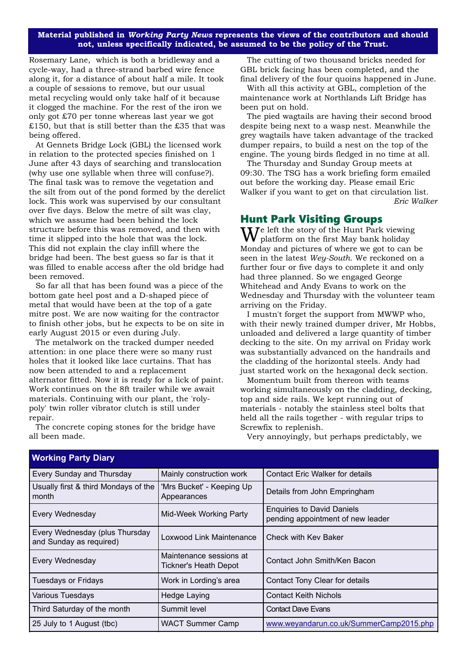#### **Material published in** *Working Party News* **represents the views of the contributors and should not, unless specifically indicated, be assumed to be the policy of the Trust.**

Rosemary Lane, which is both a bridleway and a cycle-way, had a three-strand barbed wire fence along it, for a distance of about half a mile. It took a couple of sessions to remove, but our usual metal recycling would only take half of it because it clogged the machine. For the rest of the iron we only got £70 per tonne whereas last year we got £150, but that is still better than the £35 that was being offered.

At Gennets Bridge Lock (GBL) the licensed work in relation to the protected species finished on 1 June after 43 days of searching and translocation (why use one syllable when three will confuse?). The final task was to remove the vegetation and the silt from out of the pond formed by the derelict lock. This work was supervised by our consultant over five days. Below the metre of silt was clay, which we assume had been behind the lock structure before this was removed, and then with time it slipped into the hole that was the lock. This did not explain the clay infill where the bridge had been. The best guess so far is that it was filled to enable access after the old bridge had been removed.

So far all that has been found was a piece of the bottom gate heel post and a D-shaped piece of metal that would have been at the top of a gate mitre post. We are now waiting for the contractor to finish other jobs, but he expects to be on site in early August 2015 or even during July.

The metalwork on the tracked dumper needed attention: in one place there were so many rust holes that it looked like lace curtains. That has now been attended to and a replacement alternator fitted. Now it is ready for a lick of paint. Work continues on the 8ft trailer while we await materials. Continuing with our plant, the 'rolypoly' twin roller vibrator clutch is still under repair.

The concrete coping stones for the bridge have all been made.

The cutting of two thousand bricks needed for GBL brick facing has been completed, and the final delivery of the four quoins happened in June.

With all this activity at GBL, completion of the maintenance work at Northlands Lift Bridge has been put on hold.

The pied wagtails are having their second brood despite being next to a wasp nest. Meanwhile the grey wagtails have taken advantage of the tracked dumper repairs, to build a nest on the top of the engine. The young birds fledged in no time at all.

The Thursday and Sunday Group meets at 09:30. The TSG has a work briefing form emailed out before the working day. Please email Eric Walker if you want to get on that circulation list. *Eric Walker*

# Hunt Park Visiting Groups

 $\mathbf{W}^\text{e}$  left the story of the Hunt Park viewing platform on the first May bank holiday Monday and pictures of where we got to can be seen in the latest *Wey-South*. We reckoned on a further four or five days to complete it and only had three planned. So we engaged George Whitehead and Andy Evans to work on the Wednesday and Thursday with the volunteer team arriving on the Friday.

I mustn't forget the support from MWWP who, with their newly trained dumper driver, Mr Hobbs, unloaded and delivered a large quantity of timber decking to the site. On my arrival on Friday work was substantially advanced on the handrails and the cladding of the horizontal steels. Andy had just started work on the hexagonal deck section.

Momentum built from thereon with teams working simultaneously on the cladding, decking, top and side rails. We kept running out of materials - notably the stainless steel bolts that held all the rails together - with regular trips to Screwfix to replenish.

Very annoyingly, but perhaps predictably, we

| Every Sunday and Thursday                                 | Mainly construction work<br>Contact Eric Walker for details                                      |                                         |
|-----------------------------------------------------------|--------------------------------------------------------------------------------------------------|-----------------------------------------|
| Usually first & third Mondays of the<br>month             | 'Mrs Bucket' - Keeping Up<br>Details from John Empringham<br>Appearances                         |                                         |
| Every Wednesday                                           | <b>Enquiries to David Daniels</b><br>Mid-Week Working Party<br>pending appointment of new leader |                                         |
| Every Wednesday (plus Thursday<br>and Sunday as required) | Loxwood Link Maintenance                                                                         | <b>Check with Key Baker</b>             |
| Every Wednesday                                           | Maintenance sessions at<br><b>Tickner's Heath Depot</b>                                          | Contact John Smith/Ken Bacon            |
| <b>Tuesdays or Fridays</b>                                | Work in Lording's area                                                                           | Contact Tony Clear for details          |
| <b>Various Tuesdays</b>                                   | Hedge Laying                                                                                     | <b>Contact Keith Nichols</b>            |
| Third Saturday of the month                               | Summit level                                                                                     | <b>Contact Dave Evans</b>               |
| 25 July to 1 August (tbc)                                 | <b>WACT Summer Camp</b>                                                                          | www.weyandarun.co.uk/SummerCamp2015.php |
|                                                           |                                                                                                  |                                         |

# **Working Party Diary**